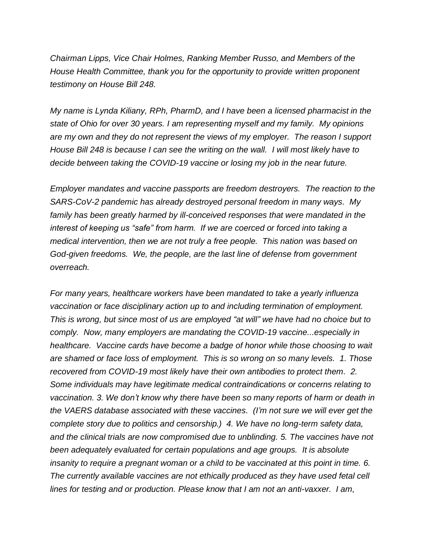*Chairman Lipps, Vice Chair Holmes, Ranking Member Russo, and Members of the House Health Committee, thank you for the opportunity to provide written proponent testimony on House Bill 248.*

*My name is Lynda Kiliany, RPh, PharmD, and I have been a licensed pharmacist in the state of Ohio for over 30 years. I am representing myself and my family. My opinions are my own and they do not represent the views of my employer. The reason I support House Bill 248 is because I can see the writing on the wall. I will most likely have to decide between taking the COVID-19 vaccine or losing my job in the near future.*

*Employer mandates and vaccine passports are freedom destroyers. The reaction to the SARS-CoV-2 pandemic has already destroyed personal freedom in many ways. My family has been greatly harmed by ill-conceived responses that were mandated in the interest of keeping us "safe" from harm. If we are coerced or forced into taking a medical intervention, then we are not truly a free people. This nation was based on God-given freedoms. We, the people, are the last line of defense from government overreach.*

*For many years, healthcare workers have been mandated to take a yearly influenza vaccination or face disciplinary action up to and including termination of employment. This is wrong, but since most of us are employed "at will" we have had no choice but to comply. Now, many employers are mandating the COVID-19 vaccine...especially in healthcare.* Vaccine cards have become a badge of honor while those choosing to wait *are shamed or face loss of employment. This is so wrong on so many levels. 1. Those recovered from COVID-19 most likely have their own antibodies to protect them. 2. Some individuals may have legitimate medical contraindications or concerns relating to vaccination. 3. We don't know why there have been so many reports of harm or death in the VAERS database associated with these vaccines. (I'm not sure we will ever get the complete story due to politics and censorship.) 4. We have no long-term safety data, and the clinical trials are now compromised due to unblinding. 5. The vaccines have not been adequately evaluated for certain populations and age groups. It is absolute insanity to require a pregnant woman or a child to be vaccinated at this point in time. 6. The currently available vaccines are not ethically produced as they have used fetal cell lines for testing and or production. Please know that I am not an anti-vaxxer. I am,*